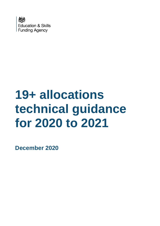

# **19+ allocations technical guidance for 2020 to 2021**

**December 2020**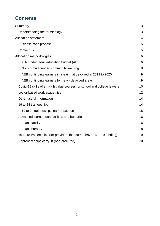# **Contents**

| Summary                                                                  | 3  |
|--------------------------------------------------------------------------|----|
| Understanding the terminology                                            | 3  |
| <b>Allocation statement</b>                                              | 4  |
| Business case process                                                    | 5  |
| Contact us                                                               | 5  |
| Allocation methodologies                                                 | 6  |
| ESFA funded adult education budget (AEB)                                 | 6  |
| Non-formula funded community learning                                    | 8  |
| AEB continuing learners in areas that devolved in 2019 to 2020           | 9  |
| AEB continuing learners for newly devolved areas                         | 9  |
| Covid-19 skills offer: High value courses for school and college leavers | 10 |
| sector-based work academies                                              | 12 |
| Other useful information                                                 | 14 |
| 19 to 24 traineeships                                                    | 14 |
| 19 to 24 traineeships learner support                                    | 15 |
| Advanced learner loan facilities and bursaries                           | 16 |
| Loans facility                                                           | 16 |
| Loans bursary                                                            | 18 |
| 16 to 18 traineeships (for providers that do not have 16 to 19 funding)  | 19 |
| Apprenticeships carry-in (non-procured)                                  | 20 |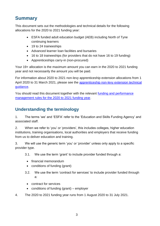# <span id="page-2-0"></span>**Summary**

This document sets out the methodologies and technical details for the following allocations for the 2020 to 2021 funding year:

- ESFA funded adult education budget (AEB) including North of Tyne continuing learners
- 19 to 24 traineeships
- Advanced learner loan facilities and bursaries
- 16 to 18 traineeships (for providers that do not have 16 to 19 funding)
- Apprenticeships carry-in (non-procured)

Your 19+ allocation is the maximum amount you can earn in the 2020 to 2021 funding year and not necessarily the amount you will be paid.

For information about 2020 to 2021 non-levy apprenticeship extension allocations from 1 April 2020 to 31 March 2021, please see the apprenticeship non-levy extension technical [guidance.](https://www.gov.uk/government/publications/19-funding-allocations-guidance-2020-to-2021)

You should read this document together with the relevant [funding and performance](https://www.gov.uk/guidance/sfa-funding-rules)  [management rules for the 2020 to 2021 funding year.](https://www.gov.uk/guidance/sfa-funding-rules)

## <span id="page-2-1"></span>**Understanding the terminology**

1. The terms 'we' and 'ESFA' refer to the 'Education and Skills Funding Agency' and associated staff.

2. When we refer to 'you' or 'providers', this includes colleges, higher education institutions, training organisations, local authorities and employers that receive funding from us to deliver education and training.

3. We will use the generic term 'you' or 'provider' unless only apply to a specific provider type.

3.1. We use the term 'grant' to include provider funded through a:

- financial memorandum
- conditions of funding (grant)
- 3.2. We use the term 'contract for services' to include provider funded through a:
	- contract for services
	- conditions of funding (grant) employer
- 4. The 2020 to 2021 funding year runs from 1 August 2020 to 31 July 2021.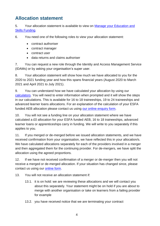# <span id="page-3-0"></span>**Allocation statement**

#### 5. Your allocation statement is available to view on [Manage your Education and](https://skillsfunding.service.gov.uk/)  [Skills Funding.](https://skillsfunding.service.gov.uk/)

6. You need one of the following roles to view your allocation statement:

- contract authoriser
- contract manager
- contract user
- data returns and claims authoriser

7. You can request a new role through the Identity and Access Management Service [\(IDAMs\)](https://logon.fasst.org.uk/) or by asking your organisation's super user.

8. Your allocation statement will show how much we have allocated to you for the 2020 to 2021 funding year and how this spans financial years (August 2020 to March 2021 and April 2021 to July 2021).

9. You can understand how we have calculated your allocation by using our [calculators.](https://www.gov.uk/government/publications/19-funding-allocations-guidance-2020-to-2021) You will need to enter information when prompted and it will show the steps in our calculations. This is available for 16 to 18 traineeships, 19 to 24 traineeships and advanced learner loans allocations. For an explanation of the calculation of your ESFA funded AEB allocation please contact us using [our online enquiry form.](https://form.education.gov.uk/en/AchieveForms/?form_uri=sandbox-publish://AF-Process-f9f4f5a1-936f-448b-bbeb-9dcdd595f468/AF-Stage-8aa41278-3cdd-45a3-ad87-80cbffb8b992/definition.json&redirectlink=%2Fen&cancelRedirectLink=%2Fen&consentMessage=yes)

10. You will not see a funding line on your allocation statement where we have calculated a £0 allocation for your ESFA funded AEB, 16 to 18 traineeships, advanced learner loans or apprenticeships carry in funding. We will write to you separately if this applies to you.

11. If you merged or de-merged before we issued allocation statements, and we have received confirmation from your organisation, we have reflected this in your allocation/s. We have calculated allocations separately for each of the providers involved in a merger and then aggregated them for the continuing provider. For de-mergers, we have split the allocation using the agreed proportions.

12. If we have not received confirmation of a merger or de-merger then you will not receive a merged or de-merged allocation. If your situation has changed since, please contact us using our [online form.](https://form.education.gov.uk/en/AchieveForms/?form_uri=sandbox-publish://AF-Process-f9f4f5a1-936f-448b-bbeb-9dcdd595f468/AF-Stage-8aa41278-3cdd-45a3-ad87-80cbffb8b992/definition.json&redirectlink=%2Fen&cancelRedirectLink=%2Fen&consentMessage=yes)

13. You will not receive an allocation statement if:

- 13.1. it is on hold: we are reviewing these allocations and we will contact you about this separately. Your statement might be on hold if you are about to merge with another organisation or take on learners from a failing provider for example
- 13.2. you have received notice that we are terminating your contract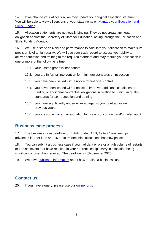14. If we change your allocation, we may update your original allocation statement. You will be able to view all versions of your statements on [Manage your Education and](https://skillsfunding.service.gov.uk/)  [Skills Funding.](https://skillsfunding.service.gov.uk/)

15. Allocation statements are not legally binding. They do not create any legal obligation against the Secretary of State for Education, acting through the Education and Skills Funding Agency.

<span id="page-4-2"></span>16. We use historic delivery and performance to calculate your allocation to make sure provision is of a high quality. We will use your track record to assess your ability to deliver education and training to the required standard and may reduce your allocation if one or more of the following is true:

- 16.1. your Ofsted grade is inadequate
- 16.2. you are in formal intervention for minimum standards or inspection
- 16.3. you have been issued with a notice for financial control
- 16.4. you have been issued with a notice to improve, additional conditions of funding or additional contractual obligations in relation to minimum quality standards for 19+ education and training
- 16.5. you have significantly underdelivered against your contract value in previous years
- 16.6. you are subject to an investigation for breach of contract and/or failed audit

## <span id="page-4-0"></span>**Business case process**

17. The business case deadline for ESFA funded AEB, 19 to 24 traineeships, advanced learner loan and 16 to 18 traineeships allocations has now passed.

18. You can submit a business case if you had data errors or a high volume of restarts or late achievers that have resulted in your apprenticeships carry in allocation being significantly lower than required. The deadline is 4 September 2020.

19. We have [published information](https://www.gov.uk/guidance/19-funding-allocations?utm_source=a0b7c5ea-d37f-41fc-ac38-d14d741e279f&utm_medium=email&utm_campaign=govuk-notifications&utm_content=immediate&utm_source=eshot&utm_medium=email&utm_campaign=CountdownIssue905#business-cases) about how to raise a business case.

## <span id="page-4-1"></span>**Contact us**

20. If you have a query, please use our [online form.](https://form.education.gov.uk/en/AchieveForms/?form_uri=sandbox-publish://AF-Process-f9f4f5a1-936f-448b-bbeb-9dcdd595f468/AF-Stage-8aa41278-3cdd-45a3-ad87-80cbffb8b992/definition.json&redirectlink=%2Fen&cancelRedirectLink=%2Fen&consentMessage=yes)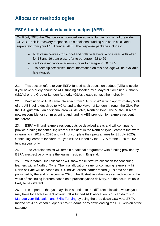# <span id="page-5-0"></span>**Allocation methodologies**

## <span id="page-5-1"></span>**ESFA funded adult education budget (AEB)**

On 8 July 2020 the Chancellor announced exceptional funding as part of the wider COVID-19 skills recovery response. This additional funding has been calculated separately from your ESFA funded AEB. The response package includes:

- high value courses for school and college leavers: a one year skills offer for 18 and 19 year olds, refer to paragraph 52 to 69
- sector-based work academies, refer to paragraph 70 to 85
- Traineeship flexibilities, more information on this package will be available late August.

21. This section refers to your ESFA funded adult education budget (AEB) allocation. If you have a query about the AEB funding allocated by a Mayoral Combined Authority (MCAs) or the Greater London Authority (GLA), please contact them directly.

22. Devolution of AEB came into effect from 1 August 2019, with approximately 50% of the AEB being devolved to MCAs and to the Mayor of London, through the GLA. From the 1 August 2020 an additional area will devolve, North of Tyne. The MCAs/GLA are now responsible for commissioning and funding AEB provision for learners resident in their areas.

23. ESFA will fund learners resident outside devolved areas and will continue to provide funding for continuing learners resident in the North of Tyne (learners that were in learning in 2019 to 2020 and will not complete their programmes by 31 July 2020). Continuing learners for North of Tyne will be funded by the ESFA for the 2020 to 2021 funding year only.

24. 19 to 24 traineeships will remain a national programme with funding provided by ESFA irrespective of where the learner resides in England.

25. Your March 2020 allocation will show the illustrative allocation for continuing learners within North of Tyne. The final allocation value for continuing learners within North of Tyne will be based on R14 individualised learner record (ILR) data and be published by the end of December 2020. The illustrative value gives an indication of the value of continuing learners based on a previous year's delivery, but the actual value is likely to be different.

26. It is important that you pay close attention to the different allocation values you may have for each element of your ESFA funded AEB allocation. You can do this in [Manage your Education and Skills Funding](https://skillsfunding.service.gov.uk/) by using the drop down '*how your ESFA funded adult education budget is broken down'* or by downloading the PDF version of the statement: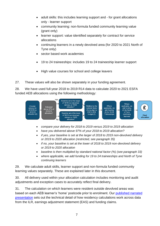- adult skills: this includes learning support and for grant allocations only - learner support
- community learning: non-formula funded community learning value (grant only)
- learner support: value identified separately for contract for service allocations
- continuing learners in a newly devolved area (for 2020 to 2021 North of Tyne only)
- sector based work academies
- 19 to 24 traineeships: includes 19 to 24 traineeship learner support
- High value courses for school and college leavers

27. These values will also be shown separately in your funding agreement.

28. We have used full-year 2018 to 2019 R14 data to calculate 2020 to 2021 ESFA funded AEB allocations using the following methodology:



- *compare your delivery for 2018 to 2019 versus 2019 to 2019 allocation*
- *have you delivered above 97% of your 2018 to 2019 allocation?*
- *if yes, your baseline is set at the larger of 2018 to 2019 non-devolved delivery or 2019 to 2020 allocation (restricted, see paragraph 35)*
- *if no, your baseline is set at the lower of 2018 to 2019 non-devolved delivery or 2019 to 2020 allocation*
- *baseline is then multiplied by standard national factor (%) (see paragraph 33)*
- *where applicable, we add funding for 19 to 24 traineeships and North of Tyne continuing learners*

29. We calculate adult skills, learner support and non-formula funded community learning values separately. These are explained later in this document.

30. All delivery used within your allocation calculation includes monitoring and audit adjustments and exception cases to accurately reflect final delivery.

31. The calculation on which learners were resident outside devolved areas was based on each AEB learner's 'home' postcode prior to enrolment. Our [published narrated](https://youtu.be/s8_oELfEJ_0)  [presentation](https://youtu.be/s8_oELfEJ_0) sets out the technical detail of how residency calculations work across data from the ILR, earnings adjustment statement (EAS) and funding claims.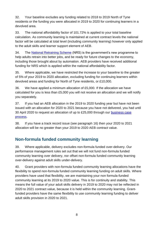32. Your baseline excludes any funding related to 2018 to 2019 North of Tyne residents or the funding you were allocated in 2019 to 2020 for continuing learners in a devolved area.

33. The national affordability factor of 101.72% is applied to your total baseline calculation. As community learning is maintained at current contract levels the national factor will be calculated at total level (including community learning) however only applied to the adult skills and learner support element of AEB.

34. The [National Retraining Scheme](https://www.gov.uk/government/publications/national-retraining-scheme) (NRS) is the government's new programme to help adults retrain into better jobs, and be ready for future changes to the economy, including those brought about by automation. AEB providers have received additional funding for NRS which is applied within the national affordability factor.

35. Where applicable, we have restricted the increase to your baseline to the greater of 5% of your 2019 to 2020 allocation, excluding funding for continuing learners within devolved areas and funding for North of Tyne residents, or £10,000.

36. We have applied a minimum allocation of £5,000. If the allocation we have calculated for you is less than £5,000 you will not receive an allocation and we will notify you separately.

37. If you had an AEB allocation in the 2019 to 2020 funding year but have not been issued with an allocation for 2020 to 2021 because you have not delivered, you had until 30 April 2020 to request an allocation of up to £25,000 through our [business case](https://www.gov.uk/guidance/19-funding-allocations?utm_source=a0b7c5ea-d37f-41fc-ac38-d14d741e279f&utm_medium=email&utm_campaign=govuk-notifications&utm_content=immediate&utm_source=eshot&utm_medium=email&utm_campaign=CountdownIssue905#business-cases)  [process.](https://www.gov.uk/guidance/19-funding-allocations?utm_source=a0b7c5ea-d37f-41fc-ac38-d14d741e279f&utm_medium=email&utm_campaign=govuk-notifications&utm_content=immediate&utm_source=eshot&utm_medium=email&utm_campaign=CountdownIssue905#business-cases)

38. If you have a track record issue (see paragraph [16\)](#page-4-2) then your 2020 to 2021 allocation will be no greater than your 2019 to 2020 AEB contract value.

## <span id="page-7-0"></span>**Non-formula funded community learning**

39. Where applicable, delivery excludes non-formula funded over-delivery. Our performance management rules set out that we will not fund non-formula funded community learning over delivery, nor offset non-formula funded community learning over-delivery against adult skills under-delivery.

40. Grant providers with non-formula funded community learning allocations have the flexibility to spend non-formula funded community learning funding on adult skills. Where providers have used that flexibility, we are maintaining your non formula-funded community learning at its 2019 to 2020 value. This is for continuity and stability. This means the full value of your adult skills delivery in 2019 to 2020 may not be reflected in 2020 to 2021 contract value, because it is held within the community learning. Grantfunded providers have the same flexibility to use community learning funding to deliver adult skills provision in 2020 to 2021.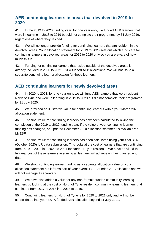## <span id="page-8-0"></span>**AEB continuing learners in areas that devolved in 2019 to 2020**

41. In the 2019 to 2020 funding year, for one year only, we funded AEB learners that were in learning in 2018 to 2019 but did not complete their programme by 31 July 2019, regardless of where they resided.

42. We will no longer provide funding for continuing learners that are resident in the devolved areas. Your allocation statement for 2019 to 2020 sets out which funds are for continuing learners in devolved areas for 2019 to 2020 only so you are aware of how much this is.

43. Funding for continuing learners that reside outside of the devolved areas is already included in 2020 to 2021 ESFA funded AEB allocations. We will not issue a separate continuing learner allocation for these learners.

## <span id="page-8-1"></span>**AEB continuing learners for newly devolved areas**

44. In 2020 to 2021, for one year only, we will fund AEB learners that were resident in North of Tyne and were in learning in 2019 to 2020 but did not complete their programme by 31 July 2020.

45. We provided an illustrative value for continuing learners within your March 2020 allocation statement.

46. The final value for continuing learners has now been calculated following the completion of the 2019 to 2020 funding year. If the value of your continuing learner funding has changed, an updated December 2020 allocation statement is available via MyESF.

47. The final value for continuing learners has been calculated using your final R14 (October 2020) ILR data submission. This looks at the cost of learners that are continuing from 2019 to 2020 into 2020 to 2021 for North of Tyne residents. We have provided the full-year cost of these learners assuming all learners will achieve on their planned end date.

48. We show continuing learner funding as a separate allocation value on your allocation statement but it forms part of your overall ESFA funded AEB allocation and we will not manage it separately.

49. We have also added a value for any non-formula funded community learning learners by looking at the cost of North of Tyne resident community learning learners that continued from 2017 to 2018 into 2018 to 2019.

50. Continuing learners for North of Tyne is for 2020 to 2021 only and will not be consolidated into your ESFA funded AEB allocation beyond 31 July 2021.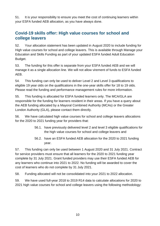51. It is your responsibility to ensure you meet the cost of continuing learners within your ESFA funded AEB allocation, as you have always done.

## <span id="page-9-0"></span>**Covid-19 skills offer: High value courses for school and college leavers**

52. Your allocation statement has been updated in August 2020 to include funding for High value courses for school and college leavers. This is available through Manage your Education and Skills Funding as part of your updated ESFA funded Adult Education Budget.

53. The funding for this offer is separate from your ESFA funded AEB and we will manage it as a single allocation line. We will not allow virement of funds to ESFA funded AEB.

54. This funding can only be used to deliver Level 2 and Level 3 qualifications to eligible 19 year olds on the qualifications in the one-year skills offer for 18 to 19 olds. Please read the funding and performance management rules for more information.

55. This funding is allocated for ESFA funded learners only. The MCA/GLA are responsible for the funding for learners resident in their areas. If you have a query about the AEB funding allocated by a Mayoral Combined Authority (MCAs) or the Greater London Authority (GLA), please contact them directly.

56. We have calculated high value courses for school and college leavers allocations for the 2020 to 2021 funding year for providers that:

- 56.1. have previously delivered level 2 and level 3 eligible qualifications for the high value courses for school and college leavers and
- 56.2. have an ESFA funded AEB allocation for the 2020 to 2021 funding year.

57. This funding can only be used between 1 August 2020 and 31 July 2021. Contract for service providers must ensure that all learners for the 2020 to 2021 funding year complete by 31 July 2021. Grant funded providers may use their ESFA funded AEB for any learners who continue into 2021 to 2022. No funding will be awarded to cover the cost of learners who do not complete by 31 July 2021.

58. Funding allocated will not be consolidated into your 2021 to 2022 allocation.

59. We have used full-year 2018 to 2019 R14 data to calculate allocations for 2020 to 2021 high value courses for school and college leavers using the following methodology: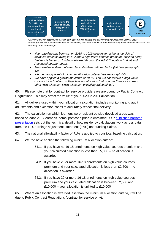

\*Delivery has been determined through both ESFA funded delivery and delivery through Advanced Learner Loans \*\*100% growth cap is calculated based on the value of your ESFA funded Adult Education Budget allocation as of March 2020 excluding 19-24 traineeships

- *Your baseline has been set on 2018 to 2019 delivery to residents outside of devolved areas studying level 2 and 3 high value courses premium [\(outlined here\)](https://www.gov.uk/government/publications/qualifications-attracting-high-value-courses-premium). Delivery is based on funding delivered through the Adult Education Budget and Advanced Learner Loans.*
- *The baseline is then multiplied by a standard national factor (%) (see paragraph 63)*
- *We then apply a set of minimum allocation criteria (see paragraph 64)*
- *We have applied a growth maximum of 100%. You will not receive a high value courses for school and college leavers allocation that is larger than your current other AEB allocation (AEB allocation excluding traineeships).*

60. Please note that for contract for service providers we are bound by Public Contract Regulations. This may affect the value of your 2020 to 2021 allocation.

61. All delivery used within your allocation calculation includes monitoring and audit adjustments and exception cases to accurately reflect final delivery.

62. The calculation on which learners were resident outside devolved areas was based on each AEB learner's 'home' postcode prior to enrolment. Our [published narrated](https://youtu.be/s8_oELfEJ_0)  [presentation](https://youtu.be/s8_oELfEJ_0) sets out the technical detail of how residency calculations work across data from the ILR, earnings adjustment statement (EAS) and funding claims.

63. The national affordability factor of 71% is applied to your total baseline calculation.

- 64. We the have applied the following minimum allocation criteria:
	- 64.1. If you have no 16-18 enrolments on high value courses premium and your calculated allocation is less than £5,000 – no allocation is awarded
	- 64.2. If you have 20 or more 16-18 enrolments on high value courses premium and your calculated allocation is less than £2,500 – no allocation is awarded
	- 64.3. If you have 20 or more 16-18 enrolments on high value courses premium and your calculated allocation is between £2,500 and £10,000 – your allocation is uplifted to £10,000

65. Where an allocation is awarded less than the minimum allocation criteria, it will be due to Public Contract Regulations (contract for service only).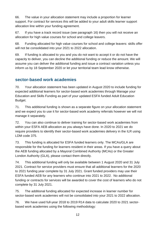66. The value in your allocation statement may include a proportion for learner support. For contract for services this will be added to your adult skills learner support allocation line within your funding agreement.

67. If you have a track record issue (see paragraph [16\)](#page-4-2) then you will not receive an allocation for high value courses for school and college leavers.

68. Funding allocated for high value courses for school and college leavers: skills offer will not be consolidated into your 2021 to 2022 allocation.

69. If funding is allocated to you and you do not want to accept it or do not have the capacity to deliver, you can decline the additional funding or reduce the amount. We will assume you can deliver the additional funding and issue a contract variation unless you inform us by 18 September 2020 or let your territorial team lead know otherwise.

## <span id="page-11-0"></span>**sector-based work academies**

70. Your allocation statement has been updated in August 2020 to include funding for expected additional learners for sector-based work academies through Manage your Education and Skills Funding as part of your updated ESFA funded Adult Education Budget.

71. This additional funding is shown as a separate figure on your allocation statement and we expect you to use it for sector-based work academy referrals however we will not manage it separately.

72. You can also continue to deliver training for sector-based work academies from within your ESFA AEB allocation as you always have done. In 2020 to 2021 we do require providers to identify their sector-based work academies delivery in the ILR using LDM code 375.

73. This funding is allocated for ESFA funded learners only. The MCAs/GLA are responsible for the funding for learners resident in their areas. If you have a query about the AEB funding allocated by a Mayoral Combined Authority (MCAs) or the Greater London Authority (GLA), please contact them directly.

74. This additional funding will only be available between 1 August 2020 and 31 July 2021. Contract for service providers must ensure that all additional learners for the 2020 to 2021 funding year complete by 31 July 2021. Grant funded providers may use their ESFA funded AEB for any learners who continue into 2021 to 2022. No additional funding or contracts for services will be awarded to cover the cost of learners who do not complete by 31 July 2021.

75. The additional funding allocated for expected increase in learner number for sector-based work academies will not be consolidated into your 2021 to 2022 allocation.

76. We have used full-year 2018 to 2019 R14 data to calculate 2020 to 2021 sectorbased work academies using the following methodology: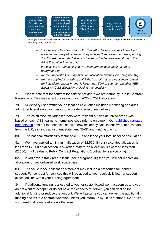

\*50% growth cap is calculated based on the value of your ESFA funded Adult Education Budget allocation as of March 2020 excluding 19-24 traineeships

- *Your baseline has been set on 2018 to 2019 delivery outside of devolved areas to unemployed residents studying level 2 and below courses spanning 2 to 5 weeks in length. Delivery is based on funding delivered through the Adult Education Budget only.*
- *the baseline is then multiplied by a standard national factor (%) (see paragraph 80)*
- *we then apply the following minimum allocation criteria (see paragraph 81)*
- *we have applied a growth cap of 50%. You will not receive a sector-based work academy allocation that is larger than 50% of your current other AEB allocation (AEB allocation excluding traineeships).*

77. Please note that for contract for service providers we are bound by Public Contract Regulations. This may affect the value of your 2020 to 2021 allocation.

78. All delivery used within your allocation calculation includes monitoring and audit adjustments and exception cases to accurately reflect final delivery.

79. The calculation on which learners were resident outside devolved areas was based on each AEB learner's 'home' postcode prior to enrolment. Our [published narrated](https://youtu.be/s8_oELfEJ_0)  [presentation](https://youtu.be/s8_oELfEJ_0) sets out the technical detail of how residency calculations work across data from the ILR, earnings adjustment statement (EAS) and funding claims.

80. The national affordability factor of 46% is applied to your total baseline calculation.

81. We have applied a minimum allocation of £2,500. If your calculated allocation is less than £2,500 no allocation is awarded. Where an allocation is awarded less than £2,500, it will be due to Public Contract Regulations (contract for service only).

82. If you have a track record issue (see paragraph [16\)](#page-4-2) then you will not receive an allocation for sector-based work academies.

83. The value in your allocation statement may include a proportion for learner support. For contract for services this will be added to your adult skills learner support allocation line within your funding agreement.

84. If additional funding is allocated to you for sector-based work academies and you do not want to accept it or do not have the capacity to deliver, you can decline the additional funding or reduce the amount. We will assume you can deliver the additional funding and issue a contract variation unless you inform us by 18 September 2020 or let your territorial team lead know otherwise.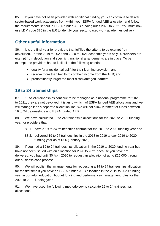85. If you have not been provided with additional funding you can continue to deliver sector-based work academies from within your ESFA funded AEB allocation and follow the requirements set out in ESFA funded AEB funding rules 2020 to 2021. You must now use LDM code 375 in the ILR to identify your sector-based work academies delivery.

## <span id="page-13-0"></span>**Other useful information**

86. It is the final year for providers that fulfilled the criteria to be exempt from devolution. For the 2019 to 2020 and 2020 to 2021 academic years only, 4 providers are exempt from devolution and specific transitional arrangements are in place. To be exempt, the providers had to fulfil all of the following criteria:

- qualify for a residential uplift for their learning provision; and
- receive more than two thirds of their income from the AEB; and
- predominantly target the most disadvantaged learners.

## <span id="page-13-1"></span>**19 to 24 traineeships**

87. 19 to 24 traineeships continue to be managed as a national programme for 2020 to 2021, they are not devolved. It is an 'of-which' of ESFA funded AEB allocations and we will manage it as a separate allocation line. We will not allow virement of funds between 19 to 24 traineeships and ESFA funded AEB.

88. We have calculated 19 to 24 traineeship allocations for the 2020 to 2021 funding year for providers that:

- 88.1. have a 19 to 24 traineeships contract for the 2019 to 2020 funding year and
- 88.2. delivered 19 to 24 traineeships in the 2018 to 2019 and/or 2019 to 2020 funding year as at R06 (January 2020)

89. If you had a 19 to 24 traineeships allocation in the 2019 to 2020 funding year but have not been issued with an allocation for 2020 to 2021 because you have not delivered, you had until 30 April 2020 to request an allocation of up to £25,000 through our [business case process.](https://www.gov.uk/guidance/19-funding-allocations?utm_source=a0b7c5ea-d37f-41fc-ac38-d14d741e279f&utm_medium=email&utm_campaign=govuk-notifications&utm_content=immediate&utm_source=eshot&utm_medium=email&utm_campaign=CountdownIssue905#business-cases)

90. We will publish the arrangements for requesting a 19 to 24 traineeships allocation for the first time if you have an ESFA funded AEB allocation in the 2019 to 2020 funding year in our adult education budget funding and performance-management rules for the 2020 to 2021 funding year.

91. We have used the following methodology to calculate 19 to 24 traineeships allocations: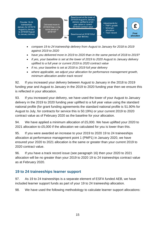

- *compare 19 to 24 traineeship delivery from August to January for 2018 to 2019 against 2019 to 2020*
- *have you delivered more in 2019 to 2020 than in the same period of 2018 to 2019?*
- *if yes, your baseline is set at the lower of 2019 to 2020 August to January delivery uplifted to a full year or current 2019 to 2020 contract value*
- *if no, your baseline is set at 2018 to 2019 full year delivery*
- *where applicable, we adjust your allocation for performance management growth, minimum allocation and/or track record*

92. If you increased your delivery between August to January in the 2018 to 2019 funding year and August to January in the 2019 to 2020 funding year then we ensure this is reflected in your allocation.

93. If you increased your delivery, we have used the lower of your August to January delivery in the 2019 to 2020 funding year uplifted to a full year value using the standard national profile (for grant funding agreements the standard national profile is 51.90% for August to July, for contracts for service this is 50.19%) or your current 2019 to 2020 contract value as of February 2020 as the baseline for your allocation.

94. We have applied a minimum allocation of £5,000. We have uplifted your 2020 to 2021 allocation to £5,000 if the allocation we calculated for you is lower than this.

95. If you were awarded an increase to your 2019 to 2020 19 to 24 traineeships allocation at performance management point 1 (PMP1) in January 2020, we have ensured your 2020 to 2021 allocation is the same or greater than your current 2019 to 2020 contract value.

96. If you have a track record issue (see paragraph 16) then your 2020 to 2021 allocation will be no greater than your 2019 to 2020 19 to 24 traineeships contract value as at February 2020.

## <span id="page-14-0"></span>**19 to 24 traineeships learner support**

97. As 19 to 24 traineeships is a separate element of ESFA funded AEB, we have included learner support funds as part of your 19 to 24 traineeship allocation.

98. We have used the following methodology to calculate learner support allocations: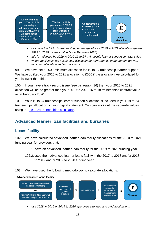We work what % your 2020/21 19-24 traineeships allocation is of your current 2019/20 19-24 traineeships contract value (as at February 2020)

We then multiply vour current 2019/20 19-24 traineeships learner support contract value by this  $%$ 



- *calculate the 19 to 24 traineeship percentage of your 2020 to 2021 allocation against 2019 to 2020 contract value (as at February 2020)*
- *this is multiplied by 2019 to 2020 19 to 24 traineeship learner support contract value*
- *where applicable, we adjust your allocation for performance management growth, minimum allocation and/or track record*

99. We have set a £500 minimum allocation for 19 to 24 traineeship learner support. We have uplifted your 2020 to 2021 allocation to £500 if the allocation we calculated for you is lower than this.

100. If you have a track record issue (see paragraph 16) then your 2020 to 2021 allocation will be no greater than your 2019 to 2020 16 to 18 traineeships contract value as at February 2020.

101. Your 19 to 24 traineeships learner support allocation is included in your 19 to 24 traineeships allocation on your digital statement. You can work out the separate values using the 19 to 24 [traineeships calculator.](https://www.gov.uk/government/publications/19-funding-allocations-guidance-2020-to-2021)

## <span id="page-15-0"></span>**Advanced learner loan facilities and bursaries**

## <span id="page-15-1"></span>**Loans facility**

102. We have calculated advanced learner loan facility allocations for the 2020 to 2021 funding year for providers that:

- 102.1. have an advanced learner loan facility for the 2019 to 2020 funding year
- 102.2. used their advanced learner loans facility in the 2017 to 2018 and/or 2018 to 2019 and/or 2019 to 2020 funding year
- 103. We have used the following methodology to calculate allocations:

#### **Advanced learner loans facility**



• *use 2018 to 2019 or 2019 to 2020 approved attended and paid applications,*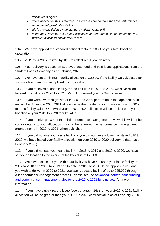*whichever is higher* 

- *where applicable, this is reduced so increases are no more than the performance management growth thresholds*
- *this is then multiplied by the standard national factor (%)*
- *where applicable, we adjust your allocation for performance management growth, minimum allocation and/or track record*

104. We have applied the standard national factor of 103% to your total baseline calculation.

105. 2019 to 2020 is uplifted by 10% to reflect a full year delivery.

106. Your delivery is based on approved, attended and paid loans applications from the Student Loans Company as at February 2020.

107. We have set a minimum facility allocation of £2,500. If the facility we calculated for you was less than this, we uplifted it to this value.

108. If you received a loans facility for the first time in 2019 to 2020, we have rolledforward this value for 2020 to 2021. We will not award you the 3% increase.

109. If you were awarded growth at the 2019 to 2020 performance management point review 1 or 2, your 2020 to 2021 allocation be the greater of your baseline or your 2019 to 2020 facility value, Otherwise your 2020 to 2021 allocation will be the lesser of your baseline or your 2019 to 2020 facility value.

110. If you receive growth at the third performance management review, this will not be consolidated into your allocation. This will be reviewed the performance management arrangements in 2020 to 2021, when published.

111. If you did not use your loans facility or you did not have a loans facility in 2018 to 2019, we have based your facility allocation on your 2019 to 2020 delivery to date (as at February 2020).

112. If you did not use your loans facility in 2018 to 2019 and 2019 to 2020, we have set your allocation to the minimum facility value of £2,500.

113. We have not issued you with a facility if you have not used your loans facility in 2017 to 2018 and 2018 to 2019 and to date in 2019 to 2020. If this applies to you and you wish to deliver in 2020 to 2021, you can request a facility of up to £25,000 through our performance-management process. Please see the [advanced learner loans funding](https://www.gov.uk/guidance/sfa-funding-rules)  [and performance-management rules for the 2020](https://www.gov.uk/guidance/sfa-funding-rules) to 2021 funding year for more information.

114. If you have a track record issue (see paragraph 16) then your 2020 to 2021 facility allocation will be no greater than your 2019 to 2020 contract value as at February 2020.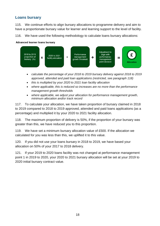## <span id="page-17-0"></span>**Loans bursary**

115. We continue efforts to align bursary allocations to programme delivery and aim to have a proportionate bursary value for learner and learning support to the level of facility.

116. We have used the following methodology to calculate loans bursary allocations:

#### Advanced learner loans bursary



- *calculate the percentage of your 2018 to 2019 bursary delivery against 2018 to 2019 approved, attended and paid loan applications (restricted, see paragraph 118)*
- *this is multiplied by your 2020 to 2021 loan facility allocation*
- *where applicable, this is reduced so increases are no more than the performance management growth thresholds*
- *where applicable, we adjust your allocation for performance management growth, minimum allocation and/or track record*

117. To calculate your allocation, we have taken proportion of bursary claimed in 2018 to 2019 compared to 2018 to 2019 approved, attended and paid loans applications (as a percentage) and multiplied it by your 2020 to 2021 facility allocation.

118. The maximum proportion of delivery is 50%, if the proportion of your bursary was greater than this, we have reduced you to this proportion.

119. We have set a minimum bursary allocation value of £500. If the allocation we calculated for you was less than this, we uplifted it to this value.

120. If you did not use your loans bursary in 2018 to 2019, we have based your allocation on 50% of your 2017 to 2018 delivery.

121. If your 2019 to 2020 loans facility was not changed at performance management point 1 in 2019 to 2020, your 2020 to 2021 bursary allocation will be set at your 2019 to 2020 initial bursary contract value.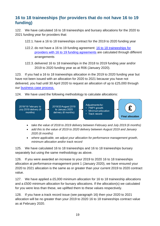## <span id="page-18-0"></span>**16 to 18 traineeships (for providers that do not have 16 to 19 funding)**

122. We have calculated 16 to 18 traineeships and bursary allocations for the 2020 to 2021 funding year for providers that:

- 122.1. have a 16 to 18 traineeships contract for the 2019 to 2020 funding year
- 122.2. do not have a 16 to 19 funding agreement: 16 to 18 [traineeships for](https://www.gov.uk/guidance/16-to-19-education-funding-allocations)  [providers with 16 to 19](https://www.gov.uk/guidance/16-to-19-education-funding-allocations) funding agreements are calculated through different arrangements
- 122.3. delivered 16 to 18 traineeships in the 2018 to 2019 funding year and/or 2019 to 2020 funding year as at R06 (January 2020).

123. If you had a 16 to 18 traineeships allocation in the 2019 to 2020 funding year but have not been issued with an allocation for 2020 to 2021 because you have not delivered, you had until 30 April 2020 to request an allocation of up to £25,000 through our [business case process.](https://www.gov.uk/guidance/19-funding-allocations?utm_source=a0b7c5ea-d37f-41fc-ac38-d14d741e279f&utm_medium=email&utm_campaign=govuk-notifications&utm_content=immediate&utm_source=eshot&utm_medium=email&utm_campaign=CountdownIssue905#allocations-for-the-2019-to-2020-funding-year)

124. We have used the following methodology to calculate allocations:



- *take the value of 2018 to 2019 delivery between February and July 2019 (6 months)*
- *add this to the value of 2019 to 2020 delivery between August 2019 and January 2020 (6 months)*
- *where applicable, we adjust your allocation for performance management growth, minimum allocation and/or track record*

125. We have calculated 16 to 18 traineeships and 16 to 18 traineeships bursary separately but using the same methodology as above.

126. If you were awarded an increase to your 2019 to 2020 16 to 18 traineeships allocation at performance-management point 1 (January 2020), we have ensured your 2020 to 2021 allocation is the same as or greater than your current 2019 to 2020 contract value.

127. We have applied a £5,000 minimum allocation for 16 to 18 traineeship allocations and a £500 minimum allocation for bursary allocations. If the allocation(s) we calculated for you were less than these, we uplifted them to these values respectively.

128. If you have a track record issue (see paragraph 16) then your 2020 to 2021 allocation will be no greater than your 2019 to 2020 16 to 18 traineeships contract value as at February 2020.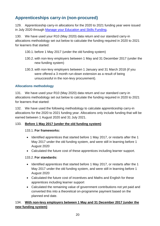## <span id="page-19-0"></span>**Apprenticeships carry-in (non-procured)**

129. Apprenticeship carry-in allocations for the 2020 to 2021 funding year were issued in July 2020 through [Manage your Education and Skills Funding.](https://skillsfunding.service.gov.uk/)

130. We have used your R10 (May 2020) data return and our standard carry-in allocations methodology set out below to calculate the funding required in 2020 to 2021 for learners that started:

- 130.1. before 1 May 2017 (under the old funding system)
- 130.2. with non-levy employers between 1 May and 31 December 2017 (under the new funding system)
- 130.3. with non-levy employers between 1 January and 31 March 2018 (if you were offered a 3 month run-down extension as a result of being unsuccessful in the non-levy procurement).

#### **Allocations methodology**

131. We have used your R10 (May 2020) data return and our standard carry-in allocations methodology set out below to calculate the funding required in 2020 to 2021 for learners that started:

132. We have used the following methodology to calculate apprenticeship carry-in allocations for the 2020 to 2021 funding year. Allocations only include funding that will be earned between 1 August 2020 and 31 July 2021.

#### 133. **Before 1 May 2017 (under the old funding system)**

#### 133.1. **For frameworks:**

- Identified apprentices that started before 1 May 2017, or restarts after the 1 May 2017 under the old funding system, and were still in learning before 1 August 2020
- Calculated the future cost of these apprentices including learner support.

#### 133.2. **For standards:**

- Identified apprentices that started before 1 May 2017, or restarts after the 1 May 2017 under the old funding system, and were still in learning before 1 August 2020
- Calculated the future cost of incentives and Maths and English for these apprentices including learner support
- Calculated the remaining value of government contributions not yet paid and converted this into a theoretical on-programme payment based on the planned end date.

#### 134. **With non-levy employers between 1 May and 31 December 2017 (under the new funding system)**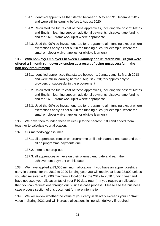- 134.1. Identified apprentices that started between 1 May and 31 December 2017 and were still in learning before 1 August 2020
- 134.2. Calculated the future cost of these apprentices, including the cost of: Maths and English, learning support, additional payments, disadvantage funding and the 16-18 framework uplift where appropriate
- 134.3. Used the 90% co-investment rate for programme aim funding except where exemptions apply as set out in the funding rules (for example, where the small employer waiver applies for eligible learners).

#### 135. **With non-levy employers between 1 January and 31 March 2018 (if you were offered a 3 month run-down extension as a result of being unsuccessful in the non-levy procurement)**

- 135.1. Identified apprentices that started between 1 January and 31 March 2018 and were still in learning before 1 August 2020; this applies only to providers unsuccessful in the procurement
- 135.2. Calculated the future cost of these apprentices, including the cost of: Maths and English, learning support, additional payments, disadvantage funding and the 16-18 framework uplift where appropriate
- 135.3. Used the 90% co-investment rate for programme aim funding except where exemptions apply as set out in the funding rules (for example, where the small employer waiver applies for eligible learners).

136. We have then rounded these values up to the nearest £100 and added them together to calculate your allocation.

- 137. Our methodology assumes:
	- 137.1. all apprentices remain on programme until their planned end date and earn all on programme payments due
	- 137.2. there is no drop-out
	- 137.3. all apprentices achieve on their planned end date and earn their achievement payment on this date

138. We have applied a £3,000 minimum allocation. If you have an apprenticeships carry-in contract for the 2019 to 2020 funding year you will receive at least £3,000 unless you also received a £3,000 minimum allocation for the 2019 to 2020 funding year and have not used your allocation (as of your R10 data return). If you require an allocation then you can request one through our business case process. Please see the business case process section of this document for more information.

139. We will review whether the value of your carry-in delivery exceeds your contract value in Spring 2021 and will increase allocations in line with delivery if required.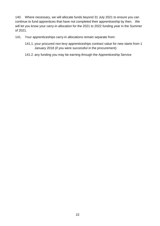140. Where necessary, we will allocate funds beyond 31 July 2021 to ensure you can continue to fund apprentices that have not completed their apprenticeship by then. We will let you know your carry-in allocation for the 2021 to 2022 funding year in the Summer of 2021.

- 141. Your apprenticeships carry-in allocations remain separate from:
	- 141.1. your procured non-levy apprenticeships contract value for new starts from 1 January 2018 (if you were successful in the procurement)
	- 141.2. any funding you may be earning through the Apprenticeship Service